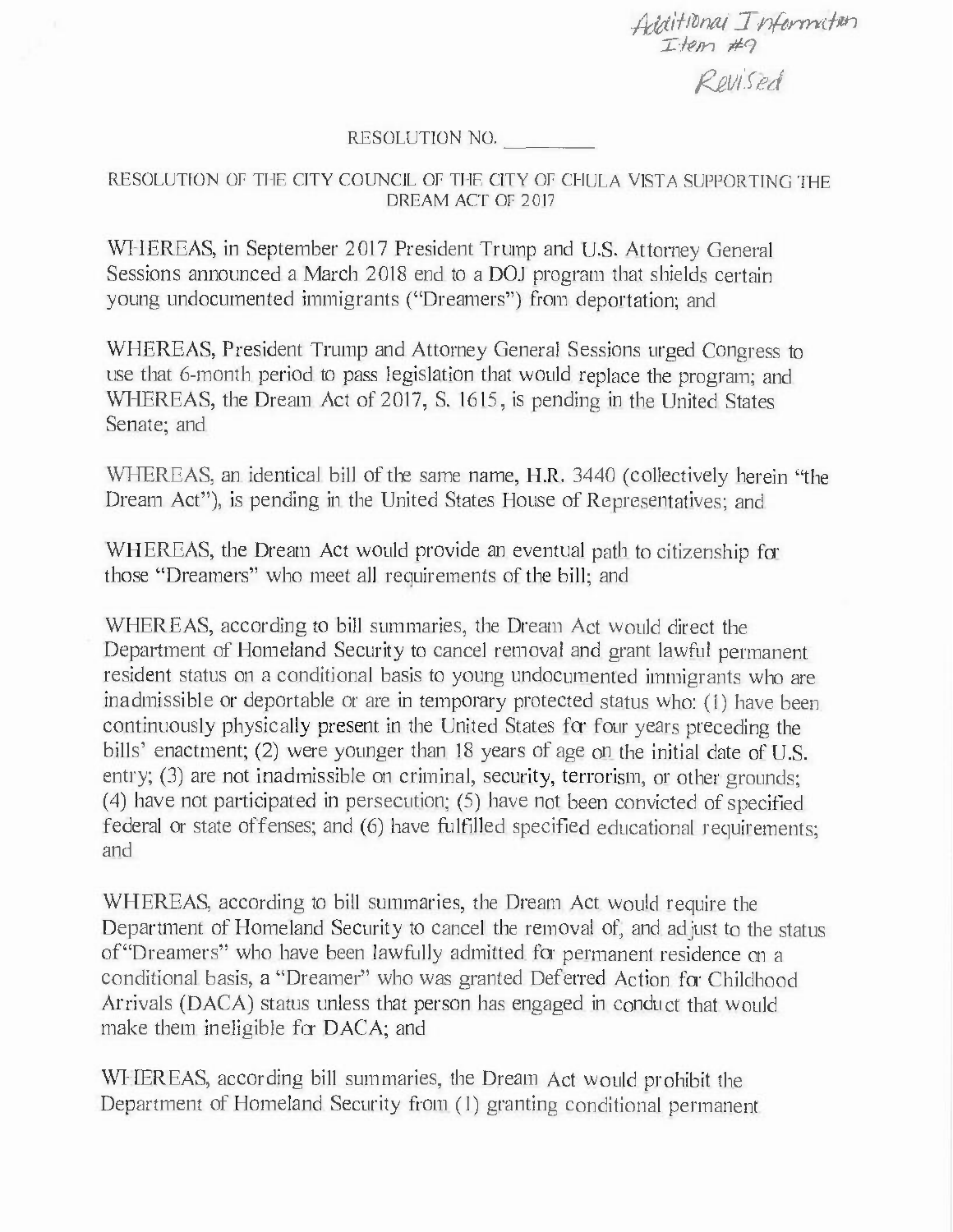*AJtti'ft�nai In{drrm.f,,,-, rf?,n* #9 *1<-e1Jifed* 

## RESOLUTION NO.

## RESOLUTION OF THE CITY COUNCIL OF THE CITY OF CHULA VISTA SUPPORTING THE DREAM ACT OF 2017

WHEREAS, in September 2017 President Trump and U.S. Attorney General Sessions announced a March 2018 end to a DOJ program that shields certain **young undocumented immigrants ("Dreamers") from deportation; and** 

WHEREAS, President Trump and Attorney General Sessions urged Congress to use that 6-month period to pass legislation that would replace the program; and WHEREAS, the Dream Act of 2017, S. 1615, is pending in the United States Senate; and

WHEREAS, an identical bill of the same name, H.R. 3440 (collectively herein "the **Dream Act"), is pending in the United States House of Representatives; and** 

WHEREAS, the Dream Act would provide an eventual path to citizenship for **those** "Dreamers" **who meet all requirements of the bill; and** 

WHEREAS, according to bill summaries, the Dream Act would direct the Department **of Homeland Security to cancel removal and grant lawful permanent resident status on a conditional basis to young undocumented immigrants who are**  inadmissible or deportable or are in temporary protected status who: (I) have been continuously physically present in the United States for four years preceding the bills' enactment; (2) were younger than 18 years of age on the initial date of U.S. **entry; (3) are not inadmissible on criminal, security, terrorism, or other grounds;**  (4) have not participated in persecution; (5) have not been convicted of specified federal or state offenses; and (6) have fulfilled specified educational requirements; and

WHEREAS, according to bill summaries, the Dream Act would require the Department of Homeland Security to cancel the removal of, and adjust to the status **of"Dreamers" who have been lawfully admitted for permanent residence on a conditional basis, a** "Dreamer" **who was granted Deferred Action for Childhood**  Arrivals (DACA) status unless that person has engaged in conduct that would make them ineligible for DACA; and

WHEREAS, according bill summaries, the Dream Act would prohibit the Department of Homeland Security from (I) granting conditional permanent